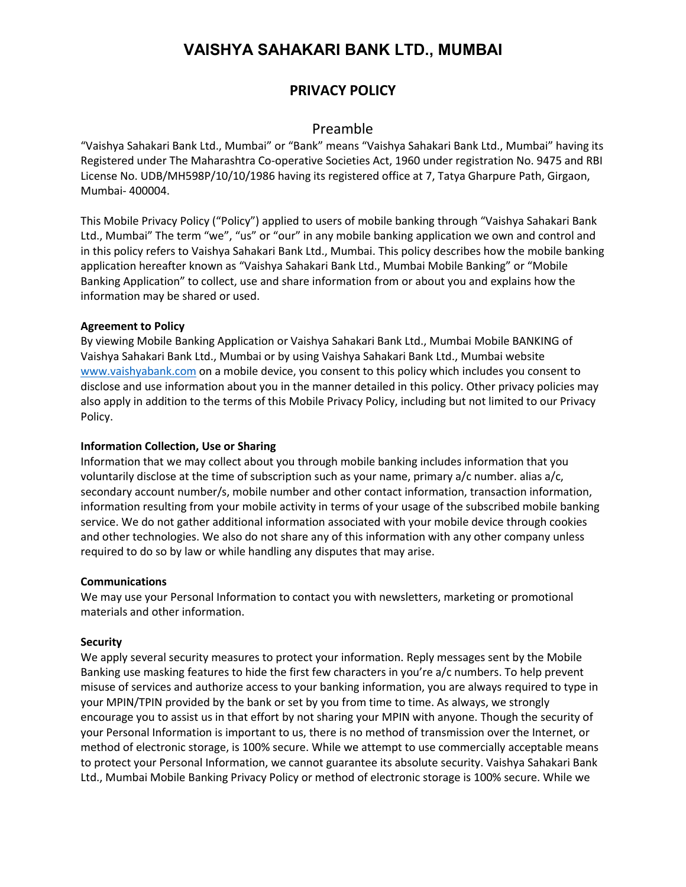# **VAISHYA SAHAKARI BANK LTD., MUMBAI**

# **PRIVACY POLICY**

# Preamble

"Vaishya Sahakari Bank Ltd., Mumbai" or "Bank" means "Vaishya Sahakari Bank Ltd., Mumbai" having its Registered under The Maharashtra Co-operative Societies Act, 1960 under registration No. 9475 and RBI License No. UDB/MH598P/10/10/1986 having its registered office at 7, Tatya Gharpure Path, Girgaon, Mumbai- 400004.

This Mobile Privacy Policy ("Policy") applied to users of mobile banking through "Vaishya Sahakari Bank Ltd., Mumbai" The term "we", "us" or "our" in any mobile banking application we own and control and in this policy refers to Vaishya Sahakari Bank Ltd., Mumbai. This policy describes how the mobile banking application hereafter known as "Vaishya Sahakari Bank Ltd., Mumbai Mobile Banking" or "Mobile Banking Application" to collect, use and share information from or about you and explains how the information may be shared or used.

## **Agreement to Policy**

By viewing Mobile Banking Application or Vaishya Sahakari Bank Ltd., Mumbai Mobile BANKING of Vaishya Sahakari Bank Ltd., Mumbai or by using Vaishya Sahakari Bank Ltd., Mumbai website [www.vaishyabank.com](http://www.vaishyabank.com) on a mobile device, you consent to this policy which includes you consent to disclose and use information about you in the manner detailed in this policy. Other privacy policies may also apply in addition to the terms of this Mobile Privacy Policy, including but not limited to our Privacy Policy.

### **Information Collection, Use or Sharing**

Information that we may collect about you through mobile banking includes information that you voluntarily disclose at the time of subscription such as your name, primary a/c number. alias a/c, secondary account number/s, mobile number and other contact information, transaction information, information resulting from your mobile activity in terms of your usage of the subscribed mobile banking service. We do not gather additional information associated with your mobile device through cookies and other technologies. We also do not share any of this information with any other company unless required to do so by law or while handling any disputes that may arise.

#### **Communications**

We may use your Personal Information to contact you with newsletters, marketing or promotional materials and other information.

## **Security**

We apply several security measures to protect your information. Reply messages sent by the Mobile Banking use masking features to hide the first few characters in you're a/c numbers. To help prevent misuse of services and authorize access to your banking information, you are always required to type in your MPIN/TPIN provided by the bank or set by you from time to time. As always, we strongly encourage you to assist us in that effort by not sharing your MPIN with anyone. Though the security of your Personal Information is important to us, there is no method of transmission over the Internet, or method of electronic storage, is 100% secure. While we attempt to use commercially acceptable means to protect your Personal Information, we cannot guarantee its absolute security. Vaishya Sahakari Bank Ltd., Mumbai Mobile Banking Privacy Policy or method of electronic storage is 100% secure. While we